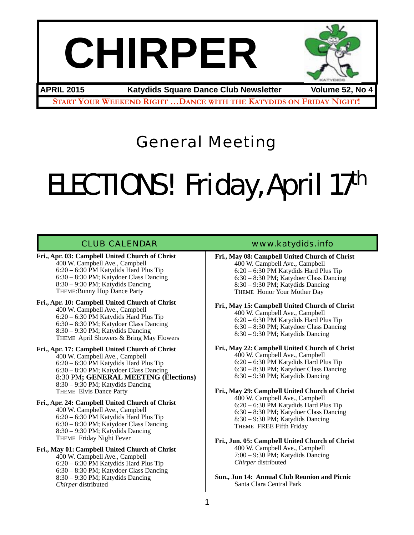# **CHIRPER**



**START YOUR WEEKEND RIGHT …DANCE WITH THE KATYDIDS ON FRIDAY NIGHT! APRIL 2015 Katydids Square Dance Club Newsletter Volume 52, No 4**

General Meeting

# ELECTIONS! Friday, April 17th

**Fri., Apr. 03: Campbell United Church of Christ** 400 W. Campbell Ave., Campbell 6:20 – 6:30 PM Katydids Hard Plus Tip 6:30 – 8:30 PM; Katydoer Class Dancing 8:30 – 9:30 PM; Katydids Dancing

THEME:Bunny Hop Dance Party

**Fri., Apr. 10: Campbell United Church of Christ** 400 W. Campbell Ave., Campbell 6:20 – 6:30 PM Katydids Hard Plus Tip 6:30 – 8:30 PM; Katydoer Class Dancing 8:30 – 9:30 PM; Katydids Dancing THEME April Showers & Bring May Flowers

- **Fri., Apr. 17: Campbell United Church of Christ** 400 W. Campbell Ave., Campbell 6:20 – 6:30 PM Katydids Hard Plus Tip 6:30 – 8:30 PM; Katydoer Class Dancing 8:30 PM**; GENERAL MEETING (Elections)** 8:30 – 9:30 PM; Katydids Dancing THEME Elvis Dance Party
- **Fri., Apr. 24: Campbell United Church of Christ** 400 W. Campbell Ave., Campbell 6:20 – 6:30 PM Katydids Hard Plus Tip 6:30 – 8:30 PM; Katydoer Class Dancing 8:30 – 9:30 PM; Katydids Dancing THEME Friday Night Fever

**Fri., May 01: Campbell United Church of Christ** 400 W. Campbell Ave., Campbell 6:20 – 6:30 PM Katydids Hard Plus Tip 6:30 – 8:30 PM; Katydoer Class Dancing 8:30 – 9:30 PM; Katydids Dancing *Chirper* distributed

### CLUB CALENDAR [www.katydids.info](http://www.katydids.info)

**Fri., May 08: Campbell United Church of Christ** 400 W. Campbell Ave., Campbell 6:20 – 6:30 PM Katydids Hard Plus Tip 6:30 – 8:30 PM; Katydoer Class Dancing 8:30 – 9:30 PM; Katydids Dancing THEME Honor Your Mother Day

**Fri., May 15: Campbell United Church of Christ** 400 W. Campbell Ave., Campbell 6:20 – 6:30 PM Katydids Hard Plus Tip 6:30 – 8:30 PM; Katydoer Class Dancing 8:30 – 9:30 PM; Katydids Dancing

**Fri., May 22: Campbell United Church of Christ**

400 W. Campbell Ave., Campbell 6:20 – 6:30 PM Katydids Hard Plus Tip 6:30 – 8:30 PM; Katydoer Class Dancing 8:30 – 9:30 PM; Katydids Dancing

**Fri., May 29: Campbell United Church of Christ** 400 W. Campbell Ave., Campbell 6:20 – 6:30 PM Katydids Hard Plus Tip 6:30 – 8:30 PM; Katydoer Class Dancing 8:30 – 9:30 PM; Katydids Dancing THEME FREE Fifth Friday

**Fri., Jun. 05: Campbell United Church of Christ** 400 W. Campbell Ave., Campbell 7:00 – 9:30 PM; Katydids Dancing *Chirper* distributed

**Sun., Jun 14: Annual Club Reunion and Picnic** Santa Clara Central Park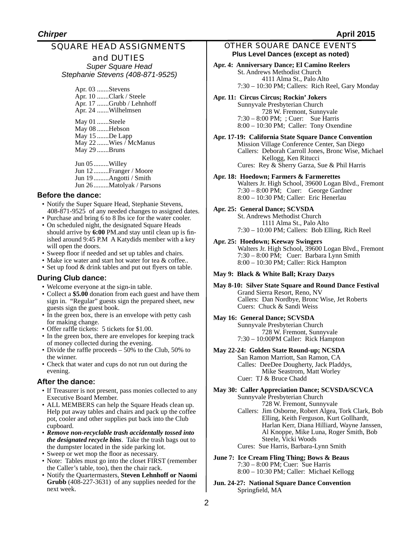## SQUARE HEAD ASSIGNMENTS

and DUTIES *Super Square Head Stephanie Stevens (408-871-9525)* 

Apr. 03 .......Stevens Apr. 10 .......Clark / Steele Apr. 17 .......Grubb / Lehnhoff Apr. 24 .......Wilhelmsen May 01 .......Steele

May 08 .......Hebson May 15 .......De Lapp May 22 .......Wies / McManus May 29 .......Bruns

Jun 05.........Willey Jun 12 .........Franger / Moore Jun 19 .........Angotti / Smith Jun 26.........Matolyak / Parsons

#### **Before the dance:**

- Notify the Super Square Head, Stephanie Stevens, 408-871-9525 of any needed changes to assigned dates.
- Purchase and bring 6 to 8 lbs ice for the water cooler. • On scheduled night, the designated Square Heads should arrive by **6:00** PM.and stay until clean up is fin-
- ished around 9:45 P.M A Katydids member with a key will open the doors. • Sweep floor if needed and set up tables and chairs.
- Make ice water and start hot water for tea & coffee..
- Set up food & drink tables and put out flyers on table.

#### **During Club dance:**

- Welcome everyone at the sign-in table.
- Collect a **\$5.00** donation from each guest and have them sign in. "Regular" guests sign the prepared sheet, new guests sign the guest book.
- In the green box, there is an envelope with petty cash for making change.
- Offer raffle tickets: 5 tickets for \$1.00.
- In the green box, there are envelopes for keeping track of money collected during the evening.
- Divide the raffle proceeds 50% to the Club, 50% to the winner.
- Check that water and cups do not run out during the evening.

#### **After the dance:**

- If Treasurer is not present, pass monies collected to any Executive Board Member.
- ALL MEMBERS can help the Square Heads clean up. Help put away tables and chairs and pack up the coffee pot, cooler and other supplies put back into the Club cupboard.
- *Remove non-recyclable trash accidentally tossed into the designated recycle bins*. Take the trash bags out to the dumpster located in the side parking lot.
- Sweep or wet mop the floor as necessary.
- Note: Tables must go into the closet FIRST (remember the Caller's table, too), then the chair rack.
- Notify the Quartermasters, **Steven Lehnhoff or Naomi Grubb** (408-227-3631) of any supplies needed for the next week.

#### OTHER SQUARE DANCE EVENTS **Plus Level Dances (except as noted)**

- **Apr. 4: Anniversary Dance; El Camino Reelers** St. Andrews Methodist Church 4111 Alma St., Palo Alto 7:30 – 10:30 PM; Callers: Rich Reel, Gary Monday
- **Apr. 11: Circus Circus; Rockin' Jokers** Sunnyvale Presbyterian Church 728 W. Fremont, Sunnyvale 7:30 – 8:00 PM; ; Cuer: Sue Harris 8:00 – 10:30 PM; Caller: Tony Oxendine

**Apr. 17-19: California State Square Dance Convention** Mission Village Conference Center, San Diego Callers: Deborah Carroll Jones, Bronc Wise, Michael Kellogg, Ken Ritucci Cures: Rey & Sherry Garza, Sue & Phil Harris

#### **Apr. 18: Hoedown; Farmers & Farmerettes**

Walters Jr. High School, 39600 Logan Blvd., Fremont 7:30 – 8:00 PM; Cuer: George Gardner 8:00 – 10:30 PM; Caller: Eric Henerlau

#### **Apr. 25: General Dance; SCVSDA**

St. Andrews Methodist Church 1111 Alma St., Palo Alto 7:30 – 10:00 PM; Callers: Bob Elling, Rich Reel

#### **Apr. 25: Hoedown; Keeway Swingers**

Walters Jr. High School, 39600 Logan Blvd., Fremont 7:30 – 8:00 PM; Cuer: Barbara Lynn Smith 8:00 – 10:30 PM; Caller: Rick Hampton

#### **May 9: Black & White Ball; Krazy Dazys**

**May 8-10: Silver State Square and Round Dance Festival** Grand Sierra Resort, Reno, NV Callers: Dan Nordbye, Bronc Wise, Jet Roberts Cuers: Chuck & Sandi Weiss

#### **May 16: General Dance; SCVSDA**

Sunnyvale Presbyterian Church 728 W. Fremont, Sunnyvale 7:30 – 10:00PM Caller: Rick Hampton

#### **May 22-24: Golden State Round-up; NCSDA**

San Ramon Marriott, San Ramon, CA Calles: DeeDee Dougherty, Jack Pladdys, Mike Seastrom, Matt Worley Cuer: TJ & Bruce Chadd

#### **May 30: Caller Appreciation Dance; SCVSDA/SCVCA**

Sunnyvale Presbyterian Church 728 W. Fremont, Sunnyvale Callers: Jim Osborne, Robert Algea, Tork Clark, Bob Elling, Keith Ferguson, Kurt Gollhardt, Harlan Kerr, Diana Hilliard, Wayne Janssen, Al Knoppe, Mike Luna, Roger Smith, Bob Steele, Vicki Woods Cures: Sue Harris, Barbara-Lynn Smith

**June 7: Ice Cream Fling Thing; Bows & Beaus** 7:30 – 8:00 PM; Cuer: Sue Harris 8:00 – 10:30 PM; Caller: Michael Kellogg

**Jun. 24-27: National Square Dance Convention** Springfield, MA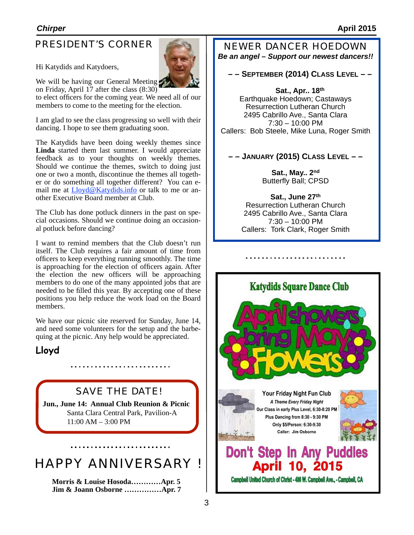# PRESIDENT'S CORNER

Hi Katydids and Katydoers,



We will be having our General Meeting

on Friday, April 17 after the class (8:30) to elect officers for the coming year. We need all of our members to come to the meeting for the election.

I am glad to see the class progressing so well with their dancing. I hope to see them graduating soon.

The Katydids have been doing weekly themes since **Linda** started them last summer. I would appreciate feedback as to your thoughts on weekly themes. Should we continue the themes, switch to doing just one or two a month, discontinue the themes all together or do something all together different? You can email me at **Lloyd@Katydids.info** or talk to me or another Executive Board member at Club.

The Club has done potluck dinners in the past on special occasions. Should we continue doing an occasional potluck before dancing?

I want to remind members that the Club doesn't run itself. The Club requires a fair amount of time from officers to keep everything running smoothly. The time is approaching for the election of officers again. After the election the new officers will be approaching members to do one of the many appointed jobs that are needed to be filled this year. By accepting one of these positions you help reduce the work load on the Board members.

We have our picnic site reserved for Sunday, June 14, and need some volunteers for the setup and the barbequing at the picnic. Any help would be appreciated.

# **Lloyd**

# SAVE THE DATE!

. . . . . . . . . . . . . . . . . . .

**Jun., June 14: Annual Club Reunion & Picnic** Santa Clara Central Park, Pavilion-A 11:00 AM – 3:00 PM

# HAPPY ANNIVERSARY !

**Morris & Louise Hosoda…………Apr. 5 Jim & Joann Osborne ……………Apr. 7** NEWER DANCER HOEDOWN

*Be an angel – Support our newest dancers!!*

**– – SEPTEMBER (2014) CLASS LEVEL – –**

**Sat., Apr.. 18th** Earthquake Hoedown; Castaways Resurrection Lutheran Church 2495 Cabrillo Ave., Santa Clara 7:30 – 10:00 PM Callers: Bob Steele, Mike Luna, Roger Smith

## **– – JANUARY (2015) CLASS LEVEL – –**

**Sat., May.. 2nd** Butterfly Ball; CPSD

**Sat., June 27th** Resurrection Lutheran Church 2495 Cabrillo Ave., Santa Clara 7:30 – 10:00 PM Callers: Tork Clark, Roger Smith

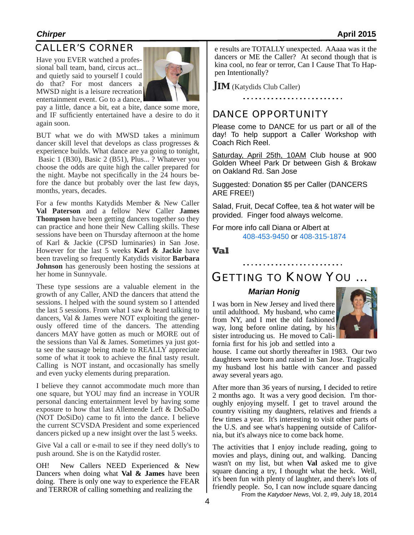## CALLER'S CORNER

Have you EVER watched a professional ball team, band, circus act... and quietly said to yourself I could do that? For most dancers a MWSD night is a leisure recreation entertainment event. Go to a dance,



pay a little, dance a bit, eat a bite, dance some more, and IF sufficiently entertained have a desire to do it again soon.

BUT what we do with MWSD takes a minimum dancer skill level that develops as class progresses & experience builds. What dance are ya going to tonight, Basic 1 (B30), Basic 2 (B51), Plus... ? Whatever you choose the odds are quite high the caller prepared for the night. Maybe not specifically in the 24 hours before the dance but probably over the last few days, months, years, decades.

For a few months Katydids Member & New Caller **Val Paterson** and a fellow New Caller **James Thompson** have been getting dancers together so they can practice and hone their New Calling skills. These sessions have been on Thursday afternoon at the home of Karl & Jackie (CPSD luminaries) in San Jose. However for the last 5 weeks **Karl & Jackie** have been traveling so frequently Katydids visitor **Barbara Johnson** has generously been hosting the sessions at her home in Sunnyvale.

These type sessions are a valuable element in the growth of any Caller, AND the dancers that attend the sessions. I helped with the sound system so I attended the last 5 sessions. From what I saw & heard talking to dancers, Val & James were NOT exploiting the generously offered time of the dancers. The attending dancers MAY have gotten as much or MORE out of the sessions than Val & James. Sometimes ya just gotta see the sausage being made to REALLY appreciate some of what it took to achieve the final tasty result. Calling is NOT instant, and occasionally has smelly and even yucky elements during preparation.

I believe they cannot accommodate much more than one square, but YOU may find an increase in YOUR personal dancing entertainment level by having some exposure to how that last Allemende Left & DoSaDo (NOT DoSiDo) came to fit into the dance. I believe the current SCVSDA President and some experienced dancers picked up a new insight over the last 5 weeks.

Give Val a call or e-mail to see if they need dolly's to push around. She is on the Katydid roster.

OH! New Callers NEED Experienced & New Dancers when doing what **Val & James** have been doing. There is only one way to experience the FEAR and TERROR of calling something and realizing the

e results are TOTALLY unexpected. AAaaa was it the dancers or ME the Caller? At second though that is kina cool, no fear or terror, Can I Cause That To Happen Intentionally?

**JIM** (Katydids Club Caller)

#### 

### DANCE OPPORTUNITY

Please come to DANCE for us part or all of the day! To help support a Caller Workshop with Coach Rich Reel.

Saturday, April 25th, 10AM Club house at 900 Golden Wheel Park Dr between Gish & Brokaw on Oakland Rd. San Jose

Suggested: Donation \$5 per Caller (DANCERS ARE FREE!)

Salad, Fruit, Decaf Coffee, tea & hot water will be provided. Finger food always welcome.

For more info call Diana or Albert at 408-453-9450 or 408-315-1874

**Val**

## GETTING TO KNOW YOU …

#### *Marian Honig*

I was born in New Jersey and lived there until adulthood. My husband, who came from NY, and I met the old fashioned way, long before online dating, by his sister introducing us. He moved to California first for his job and settled into a



house. I came out shortly thereafter in 1983. Our two daughters were born and raised in San Jose. Tragically my husband lost his battle with cancer and passed away several years ago.

After more than 36 years of nursing, I decided to retire 2 months ago. It was a very good decision. I'm thoroughly enjoying myself. I get to travel around the country visiting my daughters, relatives and friends a few times a year. It's interesting to visit other parts of the U.S. and see what's happening outside of California, but it's always nice to come back home.

From the *Katydoer News*, Vol. 2, #9, July 18, 2014 The activities that I enjoy include reading, going to movies and plays, dining out, and walking. Dancing wasn't on my list, but when **Val** asked me to give square dancing a try, I thought what the heck. Well, it's been fun with plenty of laughter, and there's lots of friendly people. So, I can now include square dancing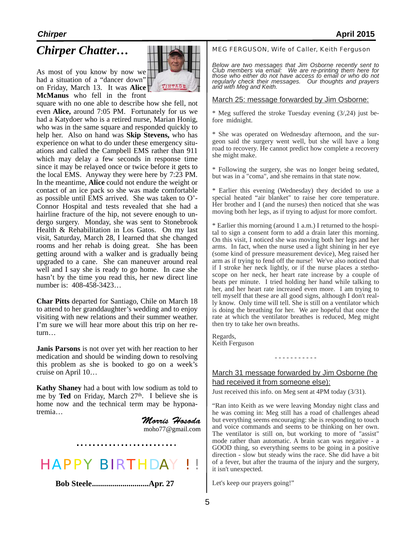As most of you know by now we had a situation of a "dancer down" on Friday, March 13. It was **Alice McManus** who fell in the front



square with no one able to describe how she fell, not even **Alice,** around 7:05 PM. Fortunately for us we had a Katydoer who is a retired nurse, Marian Honig, who was in the same square and responded quickly to help her. Also on hand was **Skip Stevens,** who has experience on what to do under these emergency situations and called the Campbell EMS rather than 911 which may delay a few seconds in response time since it may be relayed once or twice before it gets to the local EMS. Anyway they were here by 7:23 PM. In the meantime, **Alice** could not endure the weight or contact of an ice pack so she was made comfortable as possible until EMS arrived. She was taken to O'- Connor Hospital and tests revealed that she had a hairline fracture of the hip, not severe enough to undergo surgery. Monday, she was sent to Stonebrook Health & Rehabilitation in Los Gatos. On my last visit, Saturday, March 28, I learned that she changed rooms and her rehab is doing great. She has been getting around with a walker and is gradually being upgraded to a cane. She can maneuver around real well and I say she is ready to go home. In case she hasn't by the time you read this, her new direct line number is: 408-458-3423…

**Char Pitts** departed for Santiago, Chile on March 18 to attend to her granddaughter's wedding and to enjoy visiting with new relations and their summer weather. I'm sure we will hear more about this trip on her return…

**Janis Parsons** is not over yet with her reaction to her medication and should be winding down to resolving this problem as she is booked to go on a week's cruise on April 10…

**Kathy Shaney** had a bout with low sodium as told to me by **Ted** on Friday, March 27<sup>th</sup>. I believe she is home now and the technical term may be hyponatremia…

> *Morris Hosoda*  [moho77@gmail.com](mailto:moho77@gmail.com)



**Bob Steele............................Apr. 27**

## *Chirper Chatter*...  $\Box$  MEG FERGUSON, Wife of Caller, Keith Ferguson

*Below are two messages that Jim Osborne recently sent to Club members via email: We are re-printing them here for those who either do not have access to email or who do not regularly check their messages. Our thoughts and prayers and with Meg and Keith.* 

#### March 25: message forwarded by Jim Osborne:

\* Meg suffered the stroke Tuesday evening (3/,24) just before midnight.

\* She was operated on Wednesday afternoon, and the surgeon said the surgery went well, but she will have a long road to recovery. He cannot predict how complete a recovery she might make.

\* Following the surgery, she was no longer being sedated, but was in a "coma", and she remains in that state now.

\* Earlier this evening (Wednesday) they decided to use a special heated "air blanket" to raise her core temperature. Her brother and I (and the nurses) then noticed that she was moving both her legs, as if trying to adjust for more comfort.

\* Earlier this morning (around 1 a.m.) I returned to the hospital to sign a consent form to add a drain later this morning. On this visit, I noticed she was moving both her legs and her arms. In fact, when the nurse used a light shining in her eye (some kind of pressure measurement device), Meg raised her arm as if trying to fend off the nurse! We've also noticed that if I stroke her neck lightly, or if the nurse places a stethoscope on her neck, her heart rate increase by a couple of beats per minute. I tried holding her hand while talking to her, and her heart rate increased even more. I am trying to tell myself that these are all good signs, although I don't really know. Only time will tell. She is still on a ventilator which is doing the breathing for her. We are hopeful that once the rate at which the ventilator breathes is reduced, Meg might then try to take her own breaths.

Regards, Keith Ferguson

### March 31 message forwarded by Jim Osborne (he had received it from someone else):

- - - - - - - - - - -

Just received this info. on Meg sent at 4PM today (3/31).

"Ran into Keith as we were leaving Monday night class and he was coming in: Meg still has a road of challenges ahead but everything seems encouraging: she is responding to touch and voice commands and seems to be thinking on her own. The ventilator is still on, but working to more of "assist" mode rather than automatic. A brain scan was negative - a GOOD thing, so everything seems to be going in a positive direction - slow but steady wins the race. She did have a bit of a fever, but after the trauma of the injury and the surgery, it isn't unexpected.

Let's keep our prayers going!"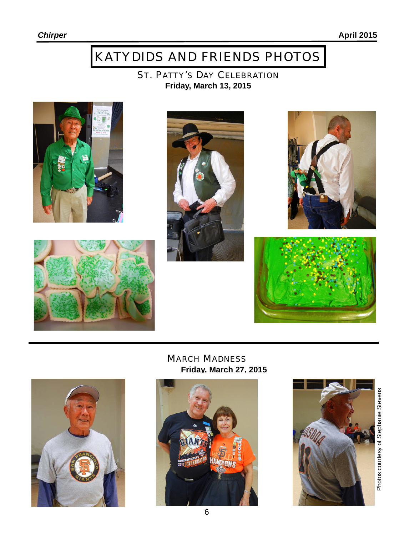# KATYDIDS AND FRIENDS PHOTOS

ST. PATTY'S DAY CELEBRATION **Friday, March 13, 2015** 









MARCH MADNESS **Friday, March 27, 2015** 





Photos courtesy of Stephanie Stevens Photos courtesy of Stephanie Stevens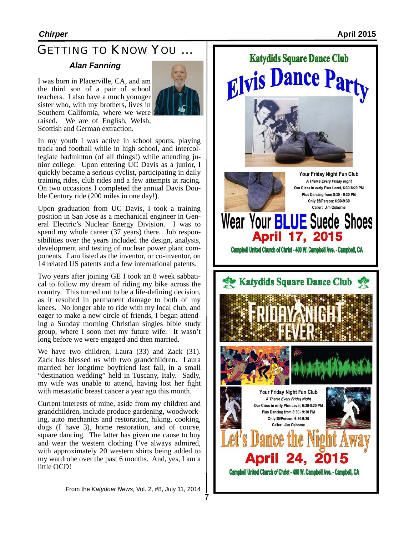# GETTING TO KNOW YOU …

#### *Alan Fanning*

I was born in Placerville, CA, and am the third son of a pair of school teachers. I also have a much younger sister who, with my brothers, lives in Southern California, where we were raised. We are of English, Welsh, Scottish and German extraction.



In my youth I was active in school sports, playing track and football while in high school, and intercollegiate badminton (of all things!) while attending junior college. Upon entering UC Davis as a junior, I quickly became a serious cyclist, participating in daily training rides, club rides and a few attempts at racing. On two occasions I completed the annual Davis Double Century ride (200 miles in one day!).

Upon graduation from UC Davis, I took a training position in San Jose as a mechanical engineer in General Electric's Nuclear Energy Division. I was to spend my whole career (37 years) there. Job responsibilities over the years included the design, analysis, development and testing of nuclear power plant components. I am listed as the inventor, or co-inventor, on 14 related US patents and a few international patents.

Two years after joining GE I took an 8 week sabbatical to follow my dream of riding my bike across the country. This turned out to be a life-defining decision, as it resulted in permanent damage to both of my knees. No longer able to ride with my local club, and eager to make a new circle of friends, I began attending a Sunday morning Christian singles bible study group, where I soon met my future wife. It wasn't long before we were engaged and then married.

We have two children, Laura (33) and Zack (31). Zack has blessed us with two grandchildren. Laura married her longtime boyfriend last fall, in a small "destination wedding" held in Tuscany, Italy. Sadly, my wife was unable to attend, having lost her fight with metastatic breast cancer a year ago this month.

Current interests of mine, aside from my children and grandchildren, include produce gardening, woodworking, auto mechanics and restoration, hiking, cooking, dogs (I have 3), home restoration, and of course, square dancing. The latter has given me cause to buy and wear the western clothing I've always admired, with approximately 20 western shirts being added to my wardrobe over the past 6 months. And, yes, I am a little OCD!